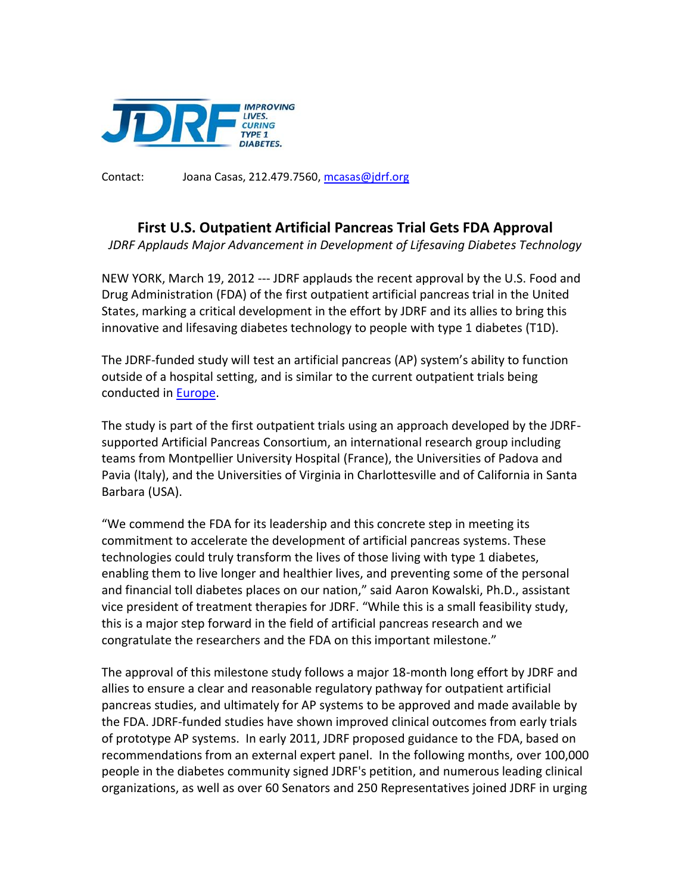

Contact: Joana Casas, 212.479.7560, [mcasas@jdrf.org](mailto:mcasas@jdrf.org)

## **First U.S. Outpatient Artificial Pancreas Trial Gets FDA Approval**

*JDRF Applauds Major Advancement in Development of Lifesaving Diabetes Technology*

NEW YORK, March 19, 2012 --- JDRF applauds the recent approval by the U.S. Food and Drug Administration (FDA) of the first outpatient artificial pancreas trial in the United States, marking a critical development in the effort by JDRF and its allies to bring this innovative and lifesaving diabetes technology to people with type 1 diabetes (T1D).

The JDRF-funded study will test an artificial pancreas (AP) system's ability to function outside of a hospital setting, and is similar to the current outpatient trials being conducted in [Europe.](http://www.jdrf.org/index.cfm?page_id=116413)

The study is part of the first outpatient trials using an approach developed by the JDRFsupported Artificial Pancreas Consortium, an international research group including teams from Montpellier University Hospital (France), the Universities of Padova and Pavia (Italy), and the Universities of Virginia in Charlottesville and of California in Santa Barbara (USA).

"We commend the FDA for its leadership and this concrete step in meeting its commitment to accelerate the development of artificial pancreas systems. These technologies could truly transform the lives of those living with type 1 diabetes, enabling them to live longer and healthier lives, and preventing some of the personal and financial toll diabetes places on our nation," said Aaron Kowalski, Ph.D., assistant vice president of treatment therapies for JDRF. "While this is a small feasibility study, this is a major step forward in the field of artificial pancreas research and we congratulate the researchers and the FDA on this important milestone."

The approval of this milestone study follows a major 18-month long effort by JDRF and allies to ensure a clear and reasonable regulatory pathway for outpatient artificial pancreas studies, and ultimately for AP systems to be approved and made available by the FDA. JDRF-funded studies have shown improved clinical outcomes from early trials of prototype AP systems. In early 2011, JDRF proposed guidance to the FDA, based on recommendations from an external expert panel. In the following months, over 100,000 people in the diabetes community signed JDRF's petition, and numerous leading clinical organizations, as well as over 60 Senators and 250 Representatives joined JDRF in urging